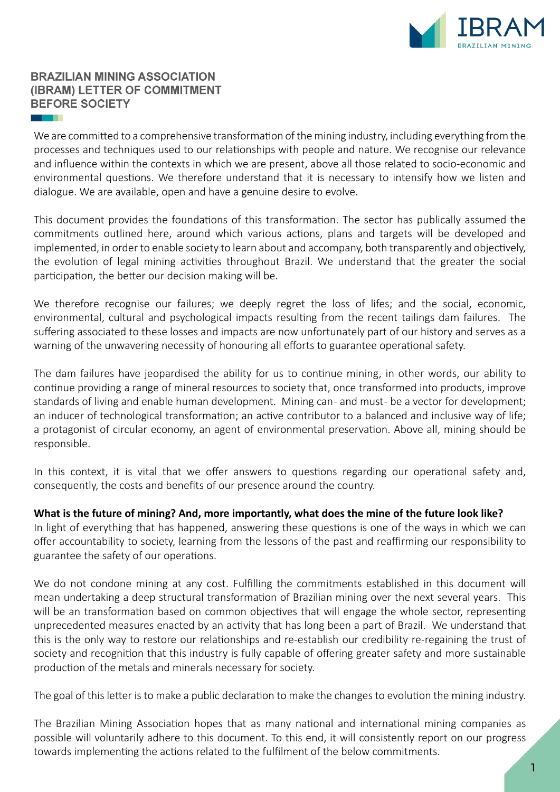

We are committed to a comprehensive transformation of the mining industry, including everything from the processes and techniques used to our relationships with people and nature. We recognise our relevance and influence within the contexts in which we are present, above all those related to socio-economic and environmental questions. We therefore understand that it is necessary to intensify how we listen and dialogue. We are available, open and have a genuine desire to evolve.

This document provides the foundations of this transformation. The sector has publically assumed the commitments outlined here, around which various actions, plans and targets will be developed and implemented, in order to enable society to learn about and accompany, both transparently and objectively, the evolution of legal mining activities throughout Brazil. We understand that the greater the social participation, the better our decision making will be.

We therefore recognise our failures; we deeply regret the loss of lifes; and the social, economic, environmental, cultural and psychological impacts resulting from the recent tailings dam failures. The suffering associated to these losses and impacts are now unfortunately part of our history and serves as a warning of the unwavering necessity of honouring all efforts to guarantee operational safety.

The dam failures have jeopardised the ability for us to continue mining, in other words, our ability to continue providing a range of mineral resources to society that, once transformed into products, improve standards of living and enable human development. Mining can- and must- be a vector for development; an inducer of technological transformation; an active contributor to a balanced and inclusive way of life; a protagonist of circular economy, an agent of environmental preservation. Above all, mining should be responsible.

In this context, it is vital that we offer answers to questions regarding our operational safety and, consequently, the costs and benefits of our presence around the country.

**What is the future of mining? And, more importantly, what does the mine of the future look like?**

In light of everything that has happened, answering these questions is one of the ways in which we can offer accountability to society, learning from the lessons of the past and reaffirming our responsibility to guarantee the safety of our operations.

We do not condone mining at any cost. Fulfilling the commitments established in this document will mean undertaking a deep structural transformation of Brazilian mining over the next several years. This will be an transformation based on common objectives that will engage the whole sector, representing unprecedented measures enacted by an activity that has long been a part of Brazil. We understand that this is the only way to restore our relationships and re-establish our credibility re-regaining the trust of society and recognition that this industry is fully capable of offering greater safety and more sustainable production of the metals and minerals necessary for society.

The goal of this letter is to make a public declaration to make the changes to evolution the mining industry.

The Brazilian Mining Association hopes that as many national and international mining companies as possible will voluntarily adhere to this document. To this end, it will consistently report on our progress towards implementing the actions related to the fulfilment of the below commitments.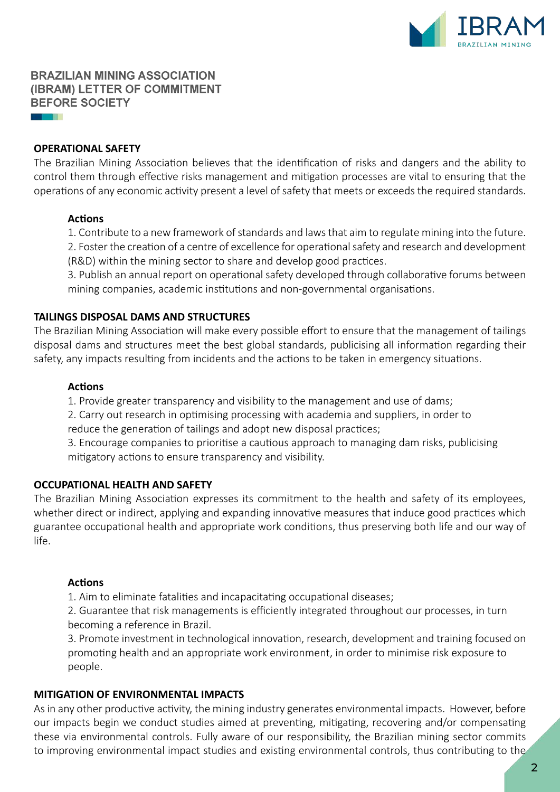

#### **OPERATIONAL SAFETY**

a provinci

The Brazilian Mining Association believes that the identification of risks and dangers and the ability to control them through effective risks management and mitigation processes are vital to ensuring that the operations of any economic activity present a level of safety that meets or exceeds the required standards.

#### **Actions**

1. Contribute to a new framework of standards and laws that aim to regulate mining into the future.

2. Foster the creation of a centre of excellence for operational safety and research and development (R&D) within the mining sector to share and develop good practices.

3. Publish an annual report on operational safety developed through collaborative forums between mining companies, academic institutions and non-governmental organisations.

#### **TAILINGS DISPOSAL DAMS AND STRUCTURES**

The Brazilian Mining Association will make every possible effort to ensure that the management of tailings disposal dams and structures meet the best global standards, publicising all information regarding their safety, any impacts resulting from incidents and the actions to be taken in emergency situations.

#### **Actions**

1. Provide greater transparency and visibility to the management and use of dams;

2. Carry out research in optimising processing with academia and suppliers, in order to

reduce the generation of tailings and adopt new disposal practices;

3. Encourage companies to prioritise a cautious approach to managing dam risks, publicising mitigatory actions to ensure transparency and visibility.

#### **OCCUPATIONAL HEALTH AND SAFETY**

The Brazilian Mining Association expresses its commitment to the health and safety of its employees, whether direct or indirect, applying and expanding innovative measures that induce good practices which guarantee occupational health and appropriate work conditions, thus preserving both life and our way of life.

#### **Actions**

1. Aim to eliminate fatalities and incapacitating occupational diseases;

2. Guarantee that risk managements is efficiently integrated throughout our processes, in turn becoming a reference in Brazil.

3. Promote investment in technological innovation, research, development and training focused on promoting health and an appropriate work environment, in order to minimise risk exposure to people.

#### **MITIGATION OF ENVIRONMENTAL IMPACTS**

As in any other productive activity, the mining industry generates environmental impacts. However, before our impacts begin we conduct studies aimed at preventing, mitigating, recovering and/or compensating these via environmental controls. Fully aware of our responsibility, the Brazilian mining sector commits to improving environmental impact studies and existing environmental controls, thus contributing to the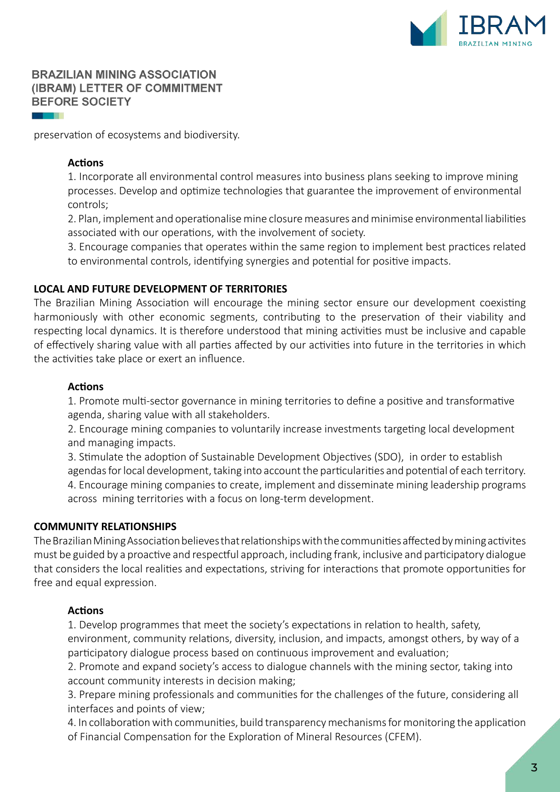

preservation of ecosystems and biodiversity.

## **Actions**

1. Incorporate all environmental control measures into business plans seeking to improve mining processes. Develop and optimize technologies that guarantee the improvement of environmental controls;

2. Plan, implement and operationalise mine closure measures and minimise environmental liabilities associated with our operations, with the involvement of society.

3. Encourage companies that operates within the same region to implement best practices related to environmental controls, identifying synergies and potential for positive impacts.

## **LOCAL AND FUTURE DEVELOPMENT OF TERRITORIES**

The Brazilian Mining Association will encourage the mining sector ensure our development coexisting harmoniously with other economic segments, contributing to the preservation of their viability and respecting local dynamics. It is therefore understood that mining activities must be inclusive and capable of effectively sharing value with all parties affected by our activities into future in the territories in which the activities take place or exert an influence.

## **Actions**

1. Promote multi-sector governance in mining territories to define a positive and transformative agenda, sharing value with all stakeholders.

2. Encourage mining companies to voluntarily increase investments targeting local development and managing impacts.

3. Stimulate the adoption of Sustainable Development Objectives (SDO), in order to establish agendas for local development, taking into account the particularities and potential of each territory. 4. Encourage mining companies to create, implement and disseminate mining leadership programs across mining territories with a focus on long-term development.

#### **COMMUNITY RELATIONSHIPS**

The Brazilian Mining Association believes that relationships with the communities affected by mining activites must be guided by a proactive and respectful approach, including frank, inclusive and participatory dialogue that considers the local realities and expectations, striving for interactions that promote opportunities for free and equal expression.

## **Actions**

1. Develop programmes that meet the society's expectations in relation to health, safety, environment, community relations, diversity, inclusion, and impacts, amongst others, by way of a participatory dialogue process based on continuous improvement and evaluation;

2. Promote and expand society's access to dialogue channels with the mining sector, taking into account community interests in decision making;

3. Prepare mining professionals and communities for the challenges of the future, considering all interfaces and points of view;

4. In collaboration with communities, build transparency mechanisms for monitoring the application of Financial Compensation for the Exploration of Mineral Resources (CFEM).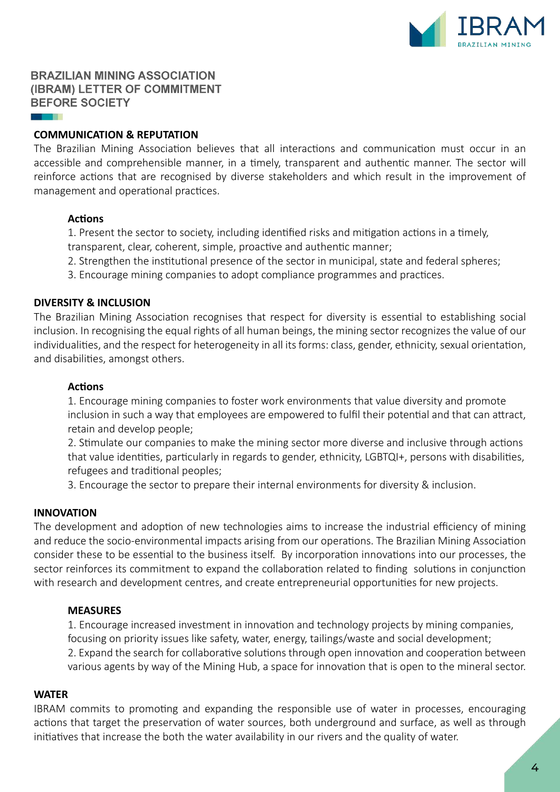

### **COMMUNICATION & REPUTATION**

The Brazilian Mining Association believes that all interactions and communication must occur in an accessible and comprehensible manner, in a timely, transparent and authentic manner. The sector will reinforce actions that are recognised by diverse stakeholders and which result in the improvement of management and operational practices.

#### **Actions**

1. Present the sector to society, including identified risks and mitigation actions in a timely,

- transparent, clear, coherent, simple, proactive and authentic manner;
- 2. Strengthen the institutional presence of the sector in municipal, state and federal spheres;
- 3. Encourage mining companies to adopt compliance programmes and practices.

## **DIVERSITY & INCLUSION**

The Brazilian Mining Association recognises that respect for diversity is essential to establishing social inclusion. In recognising the equal rights of all human beings, the mining sector recognizes the value of our individualities, and the respect for heterogeneity in all its forms: class, gender, ethnicity, sexual orientation, and disabilities, amongst others.

#### **Actions**

1. Encourage mining companies to foster work environments that value diversity and promote inclusion in such a way that employees are empowered to fulfil their potential and that can attract, retain and develop people;

2. Stimulate our companies to make the mining sector more diverse and inclusive through actions that value identities, particularly in regards to gender, ethnicity, LGBTQI+, persons with disabilities, refugees and traditional peoples;

3. Encourage the sector to prepare their internal environments for diversity & inclusion.

#### **INNOVATION**

The development and adoption of new technologies aims to increase the industrial efficiency of mining and reduce the socio-environmental impacts arising from our operations. The Brazilian Mining Association consider these to be essential to the business itself. By incorporation innovations into our processes, the sector reinforces its commitment to expand the collaboration related to finding solutions in conjunction with research and development centres, and create entrepreneurial opportunities for new projects.

#### **MEASURES**

1. Encourage increased investment in innovation and technology projects by mining companies, focusing on priority issues like safety, water, energy, tailings/waste and social development; 2. Expand the search for collaborative solutions through open innovation and cooperation between various agents by way of the Mining Hub, a space for innovation that is open to the mineral sector.

#### **WATER**

IBRAM commits to promoting and expanding the responsible use of water in processes, encouraging actions that target the preservation of water sources, both underground and surface, as well as through initiatives that increase the both the water availability in our rivers and the quality of water.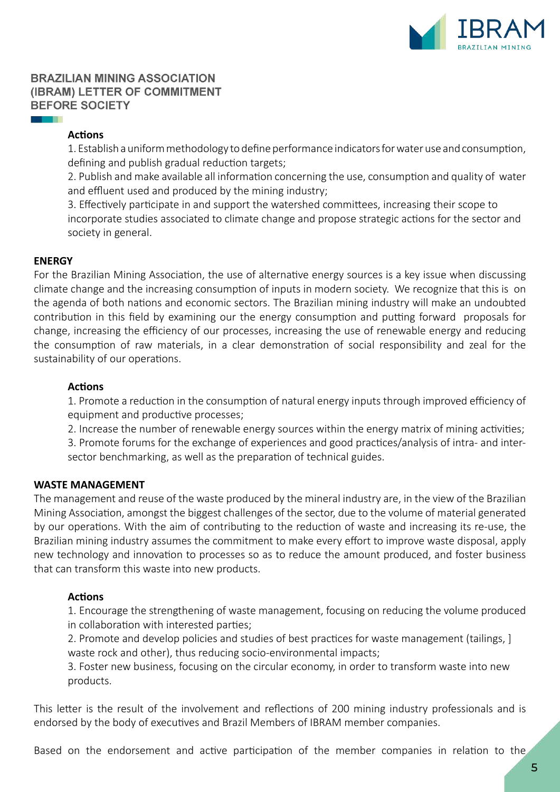

## **Actions**

1. Establish a uniform methodology to define performance indicators for water use and consumption, defining and publish gradual reduction targets;

2. Publish and make available all information concerning the use, consumption and quality of water and effluent used and produced by the mining industry;

3. Effectively participate in and support the watershed committees, increasing their scope to incorporate studies associated to climate change and propose strategic actions for the sector and society in general.

## **ENERGY**

**START** 

For the Brazilian Mining Association, the use of alternative energy sources is a key issue when discussing climate change and the increasing consumption of inputs in modern society. We recognize that this is on the agenda of both nations and economic sectors. The Brazilian mining industry will make an undoubted contribution in this field by examining our the energy consumption and putting forward proposals for change, increasing the efficiency of our processes, increasing the use of renewable energy and reducing the consumption of raw materials, in a clear demonstration of social responsibility and zeal for the sustainability of our operations.

## **Actions**

1. Promote a reduction in the consumption of natural energy inputs through improved efficiency of equipment and productive processes;

2. Increase the number of renewable energy sources within the energy matrix of mining activities;

3. Promote forums for the exchange of experiences and good practices/analysis of intra- and intersector benchmarking, as well as the preparation of technical guides.

#### **WASTE MANAGEMENT**

The management and reuse of the waste produced by the mineral industry are, in the view of the Brazilian Mining Association, amongst the biggest challenges of the sector, due to the volume of material generated by our operations. With the aim of contributing to the reduction of waste and increasing its re-use, the Brazilian mining industry assumes the commitment to make every effort to improve waste disposal, apply new technology and innovation to processes so as to reduce the amount produced, and foster business that can transform this waste into new products.

#### **Actions**

1. Encourage the strengthening of waste management, focusing on reducing the volume produced in collaboration with interested parties;

2. Promote and develop policies and studies of best practices for waste management (tailings, ] waste rock and other), thus reducing socio-environmental impacts;

3. Foster new business, focusing on the circular economy, in order to transform waste into new products.

This letter is the result of the involvement and reflections of 200 mining industry professionals and is endorsed by the body of executives and Brazil Members of IBRAM member companies.

Based on the endorsement and active participation of the member companies in relation to the